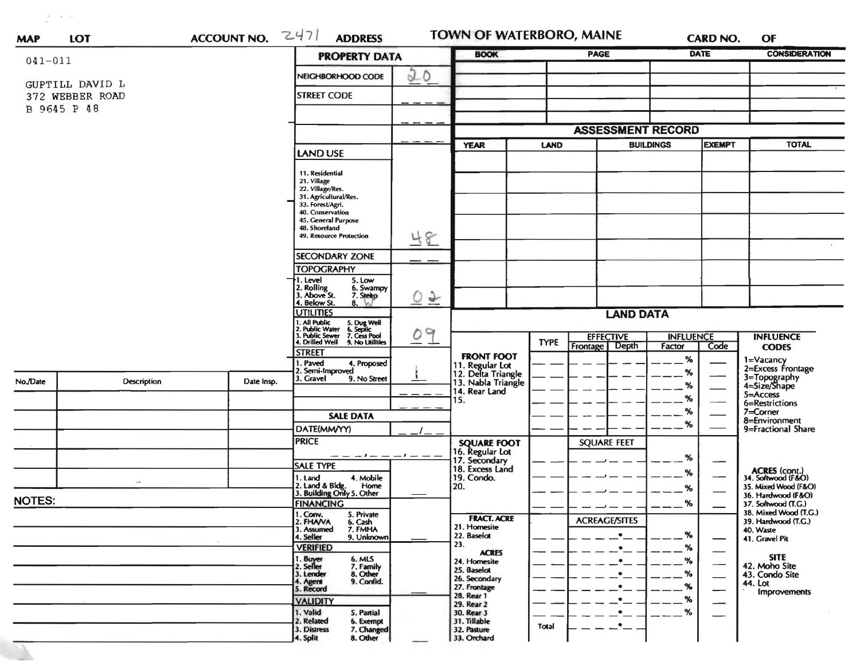| <b>MAP</b>    | <b>LOT</b>                         | ACCOUNT NO. Z471                                                                                | <b>ADDRESS</b>                                                                    |                       |                                                                           |                                 | <b>TOWN OF WATERBORO, MAINE</b> |               | <b>CARD NO.</b>             | <b>OF</b>                                    |
|---------------|------------------------------------|-------------------------------------------------------------------------------------------------|-----------------------------------------------------------------------------------|-----------------------|---------------------------------------------------------------------------|---------------------------------|---------------------------------|---------------|-----------------------------|----------------------------------------------|
| $041 - 011$   |                                    |                                                                                                 | <b>PROPERTY DATA</b>                                                              |                       | <b>BOOK</b>                                                               |                                 | PAGE                            |               | <b>DATE</b>                 | <b>CONSIDERATION</b>                         |
|               |                                    |                                                                                                 | NEIGHBORHOOD CODE                                                                 | 20                    |                                                                           |                                 |                                 |               |                             |                                              |
|               | GUPTILL DAVID L<br>372 WEBBER ROAD |                                                                                                 | <b>STREET CODE</b>                                                                |                       |                                                                           |                                 |                                 |               |                             |                                              |
|               | B 9645 P 48                        |                                                                                                 |                                                                                   |                       |                                                                           |                                 |                                 |               |                             |                                              |
|               |                                    |                                                                                                 |                                                                                   |                       |                                                                           |                                 | <b>ASSESSMENT RECORD</b>        |               |                             |                                              |
|               |                                    |                                                                                                 | <b>LAND USE</b>                                                                   |                       | <b>YEAR</b>                                                               | <b>BUILDINGS</b><br><b>LAND</b> |                                 | <b>EXEMPT</b> |                             | <b>TOTAL</b>                                 |
|               |                                    |                                                                                                 |                                                                                   |                       |                                                                           |                                 |                                 |               |                             |                                              |
|               |                                    |                                                                                                 | 11. Residential<br>21. Village                                                    |                       |                                                                           |                                 |                                 |               |                             |                                              |
|               |                                    |                                                                                                 | 22. Village/Res.<br>31. Agricultural/Res.                                         |                       |                                                                           |                                 |                                 |               |                             |                                              |
|               |                                    |                                                                                                 | 33. Forest/Agri.                                                                  |                       |                                                                           |                                 |                                 |               |                             |                                              |
|               |                                    |                                                                                                 | 40. Conservation<br>45. General Purpose                                           |                       |                                                                           |                                 |                                 |               |                             |                                              |
|               |                                    |                                                                                                 | 48. Shoreland<br>49. Resource Protection                                          | 48                    |                                                                           |                                 |                                 |               |                             |                                              |
|               |                                    |                                                                                                 | <b>SECONDARY ZONE</b>                                                             |                       |                                                                           |                                 |                                 |               |                             |                                              |
|               |                                    |                                                                                                 | <b>TOPOGRAPHY</b>                                                                 |                       |                                                                           |                                 |                                 |               |                             |                                              |
|               |                                    |                                                                                                 | . Level<br>5. Low<br>6. Swampy                                                    |                       |                                                                           |                                 |                                 |               |                             |                                              |
|               |                                    |                                                                                                 | . Rolling<br>. Above St.<br>7. Steep<br>. Below St.<br>$8.$ h                     | $\circ$ $\rightarrow$ |                                                                           |                                 |                                 |               |                             |                                              |
|               |                                    | <b>JTILITIES</b>                                                                                | 09                                                                                |                       |                                                                           | <b>LAND DATA</b>                |                                 |               |                             |                                              |
|               |                                    | 1. All Public<br>2. Public Water<br>3. Public Sewer<br>5. Dug Well<br>6. Septic<br>7. Cess Pool |                                                                                   |                       |                                                                           | <b>EFFECTIVE</b>                | <b>INFLUENCE</b>                |               | <b>INFLUENCE</b>            |                                              |
|               |                                    |                                                                                                 | 4. Drilled Well<br>9. No Utilities                                                |                       |                                                                           | <b>TYPE</b>                     | Frontage<br><b>Depth</b>        | Factor        | Code                        | <b>CODES</b>                                 |
|               |                                    |                                                                                                 | <b>STREET</b><br>1. Paved<br>4. Proposed                                          |                       | <b>FRONT FOOT</b>                                                         |                                 |                                 | ℅             |                             | 1=Vacancy<br>2=Excess Frontage               |
| No./Date      |                                    |                                                                                                 | 2. Semi-Improved<br>3. Gravel<br>9. No Street                                     |                       | 11. Regular Lot<br>12. Delta Triangle<br>13. Nabla Triangle               |                                 |                                 | %             |                             |                                              |
|               | Description                        | Date Insp.                                                                                      |                                                                                   |                       | 14. Rear Land                                                             |                                 |                                 | %             |                             | 3=Topography<br>4=Size/Shape                 |
|               |                                    |                                                                                                 |                                                                                   |                       | 15.                                                                       |                                 |                                 | %             |                             | $5 =$ Access<br>6=Restrictions               |
|               |                                    |                                                                                                 | <b>SALE DATA</b>                                                                  |                       |                                                                           |                                 |                                 | %             |                             | 7=Corner<br>8=Environment                    |
|               |                                    |                                                                                                 | DATE(MM/YY)                                                                       |                       |                                                                           |                                 |                                 | %             |                             | 9=Fractional Share                           |
|               |                                    |                                                                                                 | <b>PRICE</b>                                                                      |                       |                                                                           |                                 | <b>SQUARE FEET</b>              |               |                             |                                              |
|               |                                    |                                                                                                 |                                                                                   |                       | <b>SQUARE FOOT</b><br>16. Regular Lot<br>17. Secondary<br>18. Excess Land |                                 |                                 | %             |                             |                                              |
|               |                                    |                                                                                                 | <b>SALE TYPE</b>                                                                  |                       |                                                                           |                                 |                                 | %             |                             | <b>ACRES</b> (cont.)                         |
|               |                                    |                                                                                                 | 4. Mobile<br>1. Land<br>2. Land & Bldg. Home<br>3. Building Only 5. Other<br>Home |                       | 19. Condo.<br>20.                                                         |                                 |                                 | %             |                             | 34. Softwood (F&O)<br>35. Mixed Wood (F&O)   |
| <b>NOTES:</b> |                                    |                                                                                                 | <b>FINANCING</b>                                                                  |                       |                                                                           |                                 |                                 | %             |                             | 36. Hardwood (F&O)                           |
|               |                                    |                                                                                                 |                                                                                   |                       |                                                                           |                                 |                                 |               |                             | 37. Softwood (T.G.)<br>38. Mixed Wood (T.G.) |
|               |                                    |                                                                                                 |                                                                                   |                       |                                                                           |                                 |                                 |               |                             | 39. Hardwood (T.G.)                          |
|               |                                    |                                                                                                 | 1. Conv.<br>5. Private<br>2. FHAVA<br>6. Cash                                     |                       | <b>FRACT. ACRE</b><br>21. Homesite                                        |                                 | <b>ACREAGE/SITES</b>            |               |                             |                                              |
|               |                                    |                                                                                                 | 7. FMHA<br>3. Assumed<br>4. Seller<br>9. Unknown                                  |                       | 22. Baselot                                                               |                                 |                                 | %             |                             | 40. Waste<br>41. Gravel Pit                  |
|               |                                    |                                                                                                 | <b>VERIFIED</b>                                                                   |                       | 23.<br><b>ACRES</b>                                                       |                                 | $\bullet$                       | ℅             | —                           |                                              |
|               |                                    |                                                                                                 | 1. Buyer<br>2. Seller<br>6. MLS<br>7. Family                                      |                       | 24. Homesite                                                              |                                 | $\bullet$                       | %             | $\overbrace{\hspace{25mm}}$ | <b>SITE</b><br>42. Moho Site                 |
|               |                                    |                                                                                                 | 3. Lender<br>8. Other                                                             |                       | 25. Baselot<br>26. Secondary                                              |                                 | $\bullet$                       | ℅             | $\overline{\phantom{0}}$    | 43. Condo Site                               |
|               |                                    |                                                                                                 | 9. Confid.<br>4. Agent<br>5. Record                                               |                       | 27. Frontage                                                              |                                 | $\bullet$                       | %             |                             | 44. Lot<br><b>Improvements</b>               |
|               |                                    |                                                                                                 | <b>VALIDITY</b>                                                                   |                       | 28. Rear 1<br>29. Rear 2                                                  |                                 | $\bullet$                       | %             | —                           |                                              |
|               |                                    |                                                                                                 | 1. Valid<br>5. Partial<br>2. Related<br>6. Exempt                                 |                       | 30. Rear 3<br>31. Tillable                                                | Total                           | $\bullet$<br>$\bullet$ $\_$     | %             |                             |                                              |

 $\frac{1}{\sqrt{2}}\left( \frac{1}{\sqrt{2}}\right) \left( \frac{1}{\sqrt{2}}\right)$